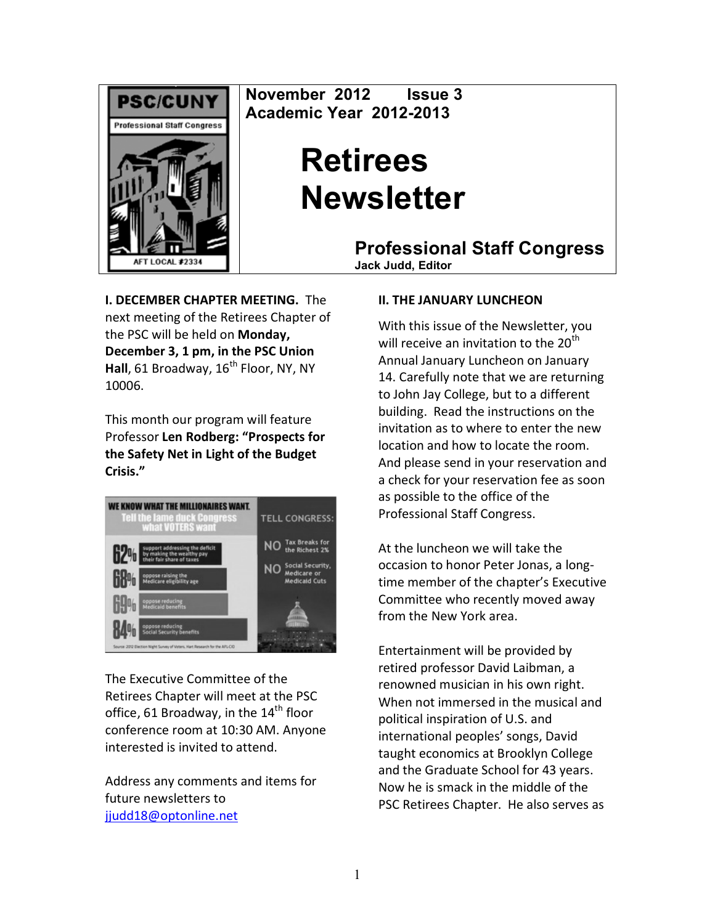

November 2012 Issue 3 Academic Year 2012-2013

# **Retirees Newsletter**

**Professional Staff Congress** 

**Jack Judd. Editor** 

**I. DECEMBER CHAPTER MEETING. The** next meeting of the Retirees Chapter of the PSC will be held on Monday, December 3, 1 pm, in the PSC Union Hall, 61 Broadway, 16<sup>th</sup> Floor, NY, NY 10006.

This month our program will feature Professor Len Rodberg: "Prospects for the Safety Net in Light of the Budget Crisis."



The Executive Committee of the Retirees Chapter will meet at the PSC office, 61 Broadway, in the 14<sup>th</sup> floor conference room at 10:30 AM. Anyone interested is invited to attend.

Address any comments and items for future newsletters to jjudd18@optonline.net

#### **II. THE JANUARY LUNCHEON**

With this issue of the Newsletter, you will receive an invitation to the 20<sup>th</sup> Annual January Luncheon on January 14. Carefully note that we are returning to John Jay College, but to a different building. Read the instructions on the invitation as to where to enter the new location and how to locate the room. And please send in your reservation and a check for your reservation fee as soon as possible to the office of the Professional Staff Congress.

At the luncheon we will take the occasion to honor Peter Jonas, a longtime member of the chapter's Executive Committee who recently moved away from the New York area.

Entertainment will be provided by retired professor David Laibman, a renowned musician in his own right. When not immersed in the musical and political inspiration of U.S. and international peoples' songs, David taught economics at Brooklyn College and the Graduate School for 43 years. Now he is smack in the middle of the PSC Retirees Chapter. He also serves as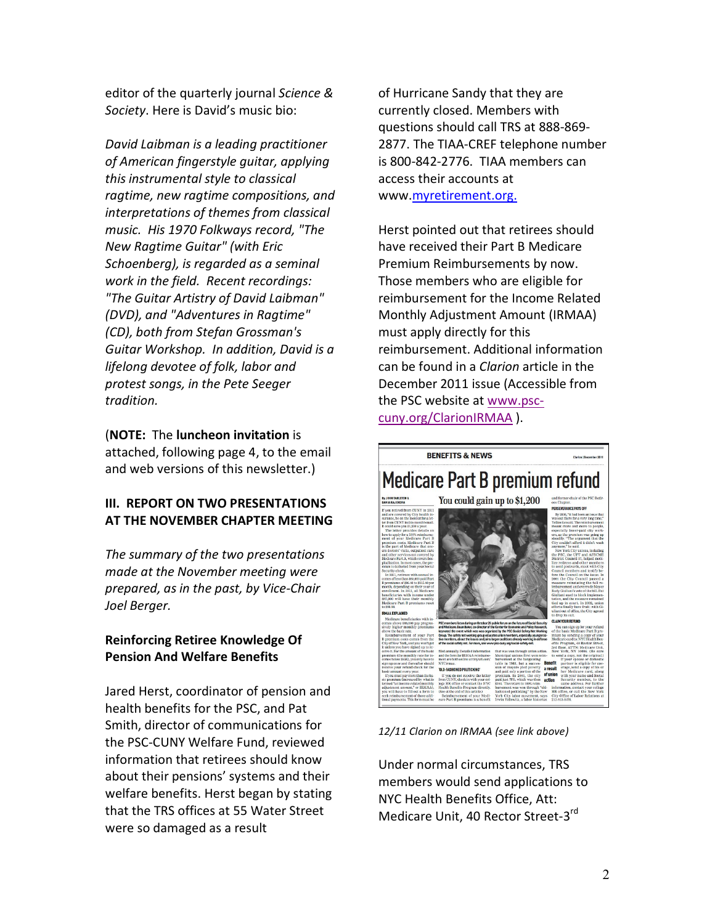editor of the quarterly journal Science & Society. Here is David's music bio:

David Laibman is a leading practitioner of American fingerstyle quitar, applying this instrumental style to classical ragtime, new ragtime compositions, and interpretations of themes from classical music. His 1970 Folkways record, "The New Ragtime Guitar" (with Eric Schoenberg), is regarded as a seminal work in the field. Recent recordings: "The Guitar Artistry of David Laibman" (DVD), and "Adventures in Ragtime" (CD), both from Stefan Grossman's Guitar Workshop. In addition, David is a lifelong devotee of folk, labor and protest songs, in the Pete Seeger tradition.

(NOTE: The luncheon invitation is attached, following page 4, to the email and web versions of this newsletter.)

#### III. REPORT ON TWO PRESENTATIONS AT THE NOVEMBER CHAPTER MEETING

The summary of the two presentations made at the November meeting were prepared, as in the past, by Vice-Chair Joel Berger.

#### **Reinforcing Retiree Knowledge Of Pension And Welfare Benefits**

Jared Herst, coordinator of pension and health benefits for the PSC, and Pat Smith, director of communications for the PSC-CUNY Welfare Fund, reviewed information that retirees should know about their pensions' systems and their welfare benefits. Herst began by stating that the TRS offices at 55 Water Street were so damaged as a result

of Hurricane Sandy that they are currently closed. Members with questions should call TRS at 888-869-2877. The TIAA-CREF telephone number is 800-842-2776. TIAA members can access their accounts at www.myretirement.org.

Herst pointed out that retirees should have received their Part B Medicare Premium Reimbursements by now. Those members who are eligible for reimbursement for the Income Related Monthly Adjustment Amount (IRMAA) must apply directly for this reimbursement. Additional information can be found in a *Clarion* article in the December 2011 issue (Accessible from the PSC website at www.psccuny.org/ClarionIRMAA).



12/11 Clarion on IRMAA (see link above)

Under normal circumstances, TRS members would send applications to NYC Health Benefits Office, Att: Medicare Unit, 40 Rector Street-3rd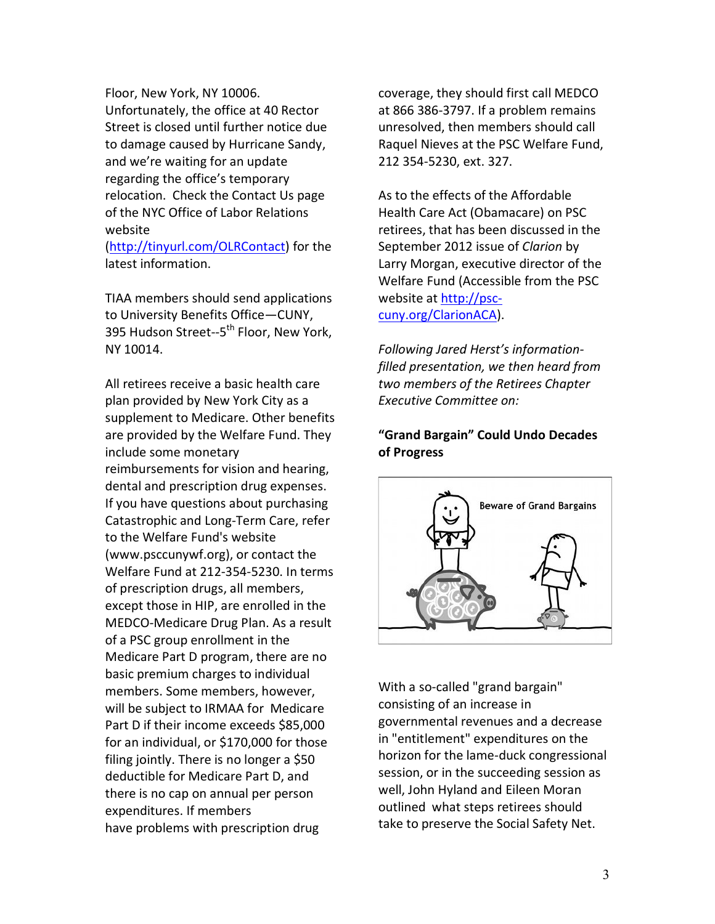Floor, New York, NY 10006. Unfortunately, the office at 40 Rector Street is closed until further notice due to damage caused by Hurricane Sandy, and we're waiting for an update regarding the office's temporary relocation. Check the Contact Us page of the NYC Office of Labor Relations website

(http://tinyurl.com/OLRContact) for the latest information.

TIAA members should send applications to University Benefits Office-CUNY, 395 Hudson Street--5<sup>th</sup> Floor, New York, NY 10014.

All retirees receive a basic health care plan provided by New York City as a supplement to Medicare. Other benefits are provided by the Welfare Fund. They include some monetary reimbursements for vision and hearing, dental and prescription drug expenses. If you have questions about purchasing Catastrophic and Long-Term Care, refer to the Welfare Fund's website (www.psccunywf.org), or contact the Welfare Fund at 212-354-5230. In terms of prescription drugs, all members, except those in HIP, are enrolled in the MEDCO-Medicare Drug Plan. As a result of a PSC group enrollment in the Medicare Part D program, there are no basic premium charges to individual members. Some members, however, will be subject to IRMAA for Medicare Part D if their income exceeds \$85,000 for an individual, or \$170,000 for those filing jointly. There is no longer a \$50 deductible for Medicare Part D, and there is no cap on annual per person expenditures. If members have problems with prescription drug

coverage, they should first call MEDCO at 866 386-3797. If a problem remains unresolved, then members should call Raquel Nieves at the PSC Welfare Fund, 212 354-5230, ext. 327.

As to the effects of the Affordable Health Care Act (Obamacare) on PSC retirees, that has been discussed in the September 2012 issue of Clarion by Larry Morgan, executive director of the Welfare Fund (Accessible from the PSC website at http://psccuny.org/ClarionACA).

Following Jared Herst's informationfilled presentation, we then heard from two members of the Retirees Chapter Executive Committee on:

### "Grand Bargain" Could Undo Decades of Progress



With a so-called "grand bargain" consisting of an increase in governmental revenues and a decrease in "entitlement" expenditures on the horizon for the lame-duck congressional session, or in the succeeding session as well, John Hyland and Eileen Moran outlined what steps retirees should take to preserve the Social Safety Net.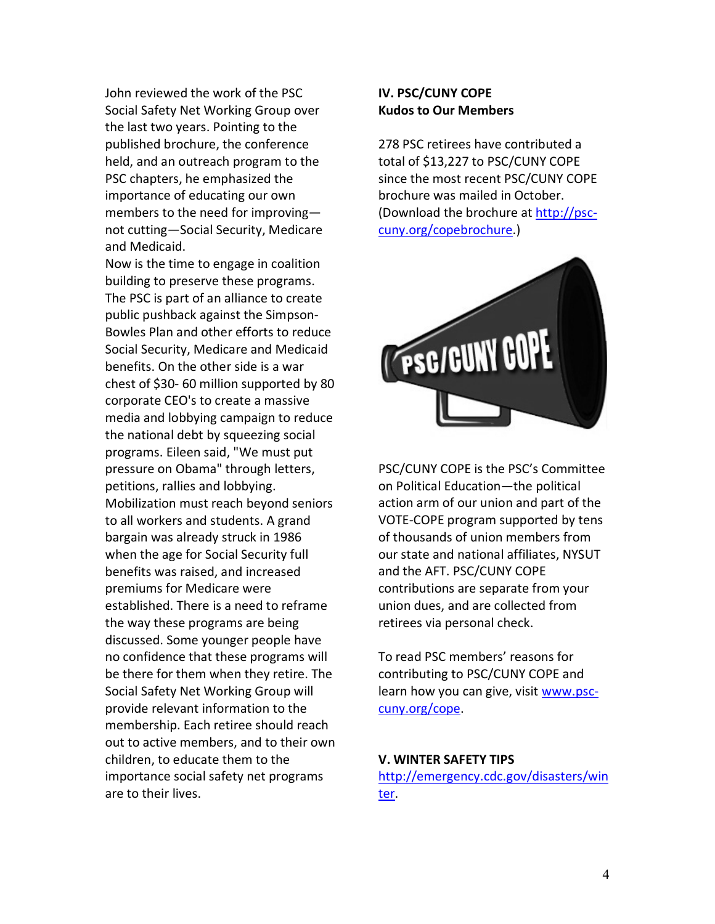John reviewed the work of the PSC Social Safety Net Working Group over the last two years. Pointing to the published brochure, the conference held, and an outreach program to the PSC chapters, he emphasized the importance of educating our own members to the need for improvingnot cutting-Social Security, Medicare and Medicaid.

Now is the time to engage in coalition building to preserve these programs. The PSC is part of an alliance to create public pushback against the Simpson-Bowles Plan and other efforts to reduce Social Security, Medicare and Medicaid benefits. On the other side is a war chest of \$30-60 million supported by 80 corporate CEO's to create a massive media and lobbying campaign to reduce the national debt by squeezing social programs. Eileen said, "We must put pressure on Obama" through letters, petitions, rallies and lobbying. Mobilization must reach beyond seniors to all workers and students. A grand bargain was already struck in 1986 when the age for Social Security full benefits was raised, and increased premiums for Medicare were established. There is a need to reframe the way these programs are being discussed. Some younger people have no confidence that these programs will be there for them when they retire. The Social Safety Net Working Group will provide relevant information to the membership. Each retiree should reach out to active members, and to their own children, to educate them to the importance social safety net programs are to their lives.

#### **IV. PSC/CUNY COPE Kudos to Our Members**

278 PSC retirees have contributed a total of \$13,227 to PSC/CUNY COPE since the most recent PSC/CUNY COPE brochure was mailed in October. (Download the brochure at http://psccuny.org/copebrochure.)



PSC/CUNY COPE is the PSC's Committee on Political Education-the political action arm of our union and part of the VOTE-COPE program supported by tens of thousands of union members from our state and national affiliates, NYSUT and the AFT. PSC/CUNY COPE contributions are separate from your union dues, and are collected from retirees via personal check.

To read PSC members' reasons for contributing to PSC/CUNY COPE and learn how you can give, visit www.psccuny.org/cope.

#### **V. WINTER SAFETY TIPS**

http://emergency.cdc.gov/disasters/win ter.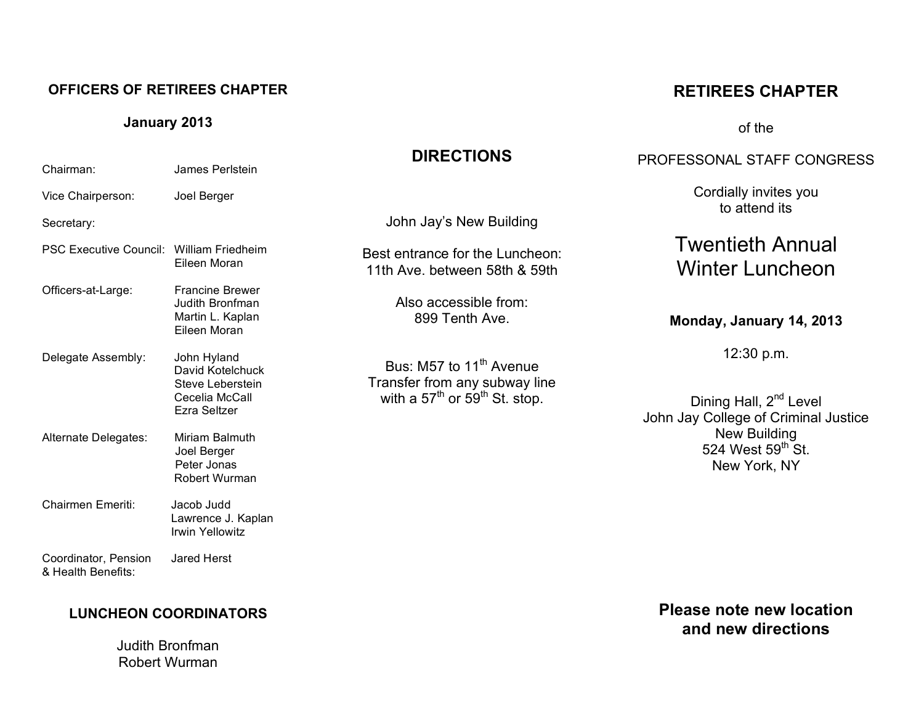#### **OFFICERS OF RETIREES CHAPTER**

**January 2013**

Chairman: James Perlstein

Vice Chairperson: Joel Berger

#### PROFESSONAL STAFF CONGRESS

**RETIREES CHAPTER**

of the

Cordially invites you to attend its

## Twentieth Annual Winter Luncheon

#### **Monday, January 14, 2013**

12:30 p.m.

Dining Hall, 2<sup>nd</sup> Level John Jay College of Criminal Justice New Building 524 West  $59<sup>th</sup>$  St. New York, NY

#### Secretary: PSC Executive Council: William Friedheim Eileen Moran Officers-at-Large: Francine Brewer Judith Bronfman Martin L. Kaplan Eileen Moran Delegate Assembly: John Hyland David Kotelchuck Steve Leberstein Cecelia McCall Ezra Seltzer Alternate Delegates: Miriam Balmuth Joel Berger Peter Jonas Robert Wurman Chairmen Emeriti: Jacob Judd Lawrence J. Kaplan Irwin Yellowitz Coordinator, Pension Jared Herst & Health Benefits: John Jay's New Building Best entrance for the Luncheon: 11th Ave. between 58th & 59th Also accessible from: 899 Tenth Ave. Bus: M57 to 11<sup>th</sup> Avenue Transfer from any subway line with a 57<sup>th</sup> or  $59<sup>th</sup>$  St. stop.

**DIRECTIONS**

### **LUNCHEON COORDINATORS**

Judith Bronfman Robert Wurman

**Please note new location and new directions**